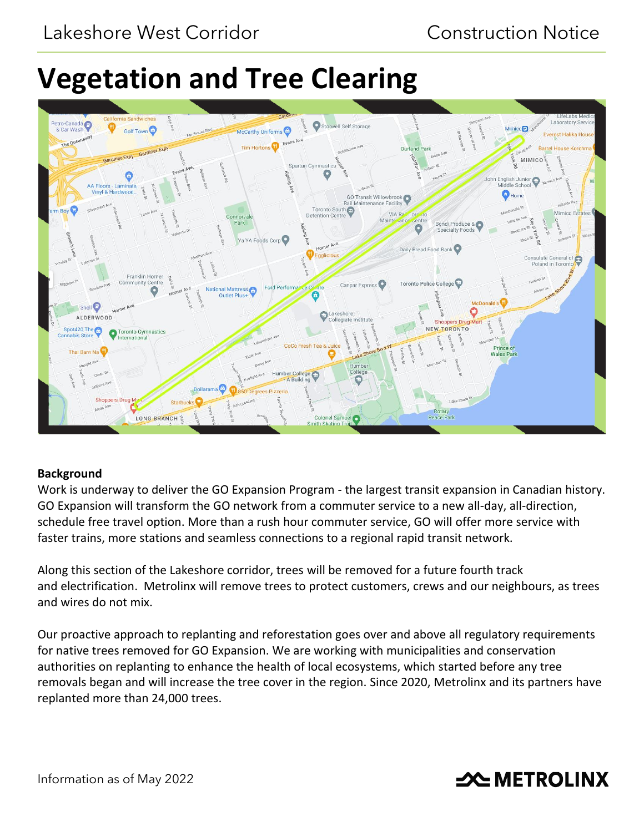# **Vegetation and Tree Clearing**



# **Background**

Work is underway to deliver the GO Expansion Program - the largest transit expansion in Canadian history. GO Expansion will transform the GO network from a commuter service to a new all-day, all-direction, schedule free travel option. More than a rush hour commuter service, GO will offer more service with faster trains, more stations and seamless connections to a regional rapid transit network.

Along this section of the Lakeshore corridor, trees will be removed for a future fourth track and electrification. Metrolinx will remove trees to protect customers, crews and our neighbours, as trees and wires do not mix.

Our proactive approach to replanting and reforestation goes over and above all regulatory requirements for native trees removed for GO Expansion. We are working with municipalities and conservation authorities on replanting to enhance the health of local ecosystems, which started before any tree removals began and will increase the tree cover in the region. Since 2020, Metrolinx and its partners have replanted more than 24,000 trees.

# **2CMETROLINX**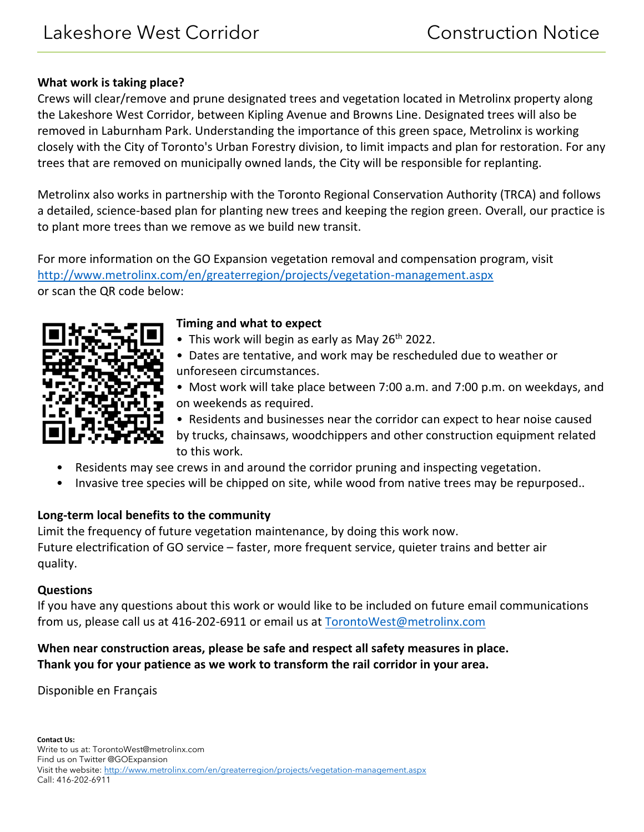#### **What work is taking place?**

Crews will clear/remove and prune designated trees and vegetation located in Metrolinx property along the Lakeshore West Corridor, between Kipling Avenue and Browns Line. Designated trees will also be removed in Laburnham Park. Understanding the importance of this green space, Metrolinx is working closely with the City of Toronto's Urban Forestry division, to limit impacts and plan for restoration. For any trees that are removed on municipally owned lands, the City will be responsible for replanting.

Metrolinx also works in partnership with the Toronto Regional Conservation Authority (TRCA) and follows a detailed, science-based plan for planting new trees and keeping the region green. Overall, our practice is to plant more trees than we remove as we build new transit.

For more information on the GO Expansion vegetation removal and compensation program, visit <http://www.metrolinx.com/en/greaterregion/projects/vegetation-management.aspx> or scan the QR code below:



#### **Timing and what to expect**

- This work will begin as early as May 26<sup>th</sup> 2022.
- Dates are tentative, and work may be rescheduled due to weather or unforeseen circumstances.
- Most work will take place between 7:00 a.m. and 7:00 p.m. on weekdays, and on weekends as required.

• Residents and businesses near the corridor can expect to hear noise caused by trucks, chainsaws, woodchippers and other construction equipment related to this work.

- Residents may see crews in and around the corridor pruning and inspecting vegetation.
- Invasive tree species will be chipped on site, while wood from native trees may be repurposed..

# **Long-term local benefits to the community**

Limit the frequency of future vegetation maintenance, by doing this work now. Future electrification of GO service – faster, more frequent service, quieter trains and better air quality.

# **Questions**

If you have any questions about this work or would like to be included on future email communications from us, please call us at 416-202-6911 or email us at [TorontoWest@metrolinx.com](mailto:TorontoEast@metrolinx.com)

# **When near construction areas, please be safe and respect all safety measures in place. Thank you for your patience as we work to transform the rail corridor in your area.**

Disponible en Français